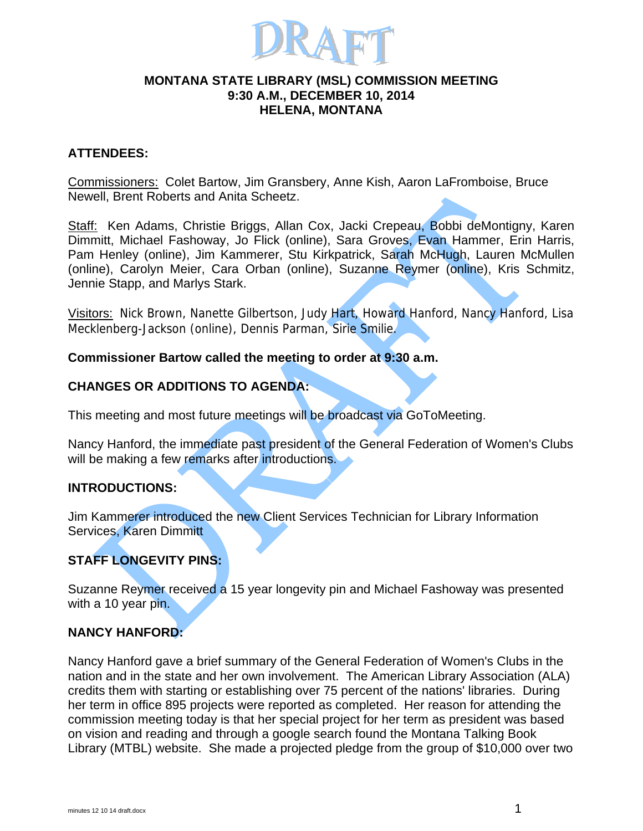

#### **MONTANA STATE LIBRARY (MSL) COMMISSION MEETING 9:30 A.M., DECEMBER 10, 2014 HELENA, MONTANA**

## **ATTENDEES:**

Commissioners: Colet Bartow, Jim Gransbery, Anne Kish, Aaron LaFromboise, Bruce Newell, Brent Roberts and Anita Scheetz.

Staff: Ken Adams, Christie Briggs, Allan Cox, Jacki Crepeau, Bobbi deMontigny, Karen Dimmitt, Michael Fashoway, Jo Flick (online), Sara Groves, Evan Hammer, Erin Harris, Pam Henley (online), Jim Kammerer, Stu Kirkpatrick, Sarah McHugh, Lauren McMullen (online), Carolyn Meier, Cara Orban (online), Suzanne Reymer (online), Kris Schmitz, Jennie Stapp, and Marlys Stark.

Visitors: Nick Brown, Nanette Gilbertson, Judy Hart, Howard Hanford, Nancy Hanford, Lisa Mecklenberg-Jackson (online), Dennis Parman, Sirie Smilie.

### **Commissioner Bartow called the meeting to order at 9:30 a.m.**

## **CHANGES OR ADDITIONS TO AGENDA:**

This meeting and most future meetings will be broadcast via GoToMeeting.

Nancy Hanford, the immediate past president of the General Federation of Women's Clubs will be making a few remarks after introductions.

### **INTRODUCTIONS:**

Jim Kammerer introduced the new Client Services Technician for Library Information Services, Karen Dimmitt

### **STAFF LONGEVITY PINS:**

Suzanne Reymer received a 15 year longevity pin and Michael Fashoway was presented with a 10 year pin.

### **NANCY HANFORD:**

Nancy Hanford gave a brief summary of the General Federation of Women's Clubs in the nation and in the state and her own involvement. The American Library Association (ALA) credits them with starting or establishing over 75 percent of the nations' libraries. During her term in office 895 projects were reported as completed. Her reason for attending the commission meeting today is that her special project for her term as president was based on vision and reading and through a google search found the Montana Talking Book Library (MTBL) website. She made a projected pledge from the group of \$10,000 over two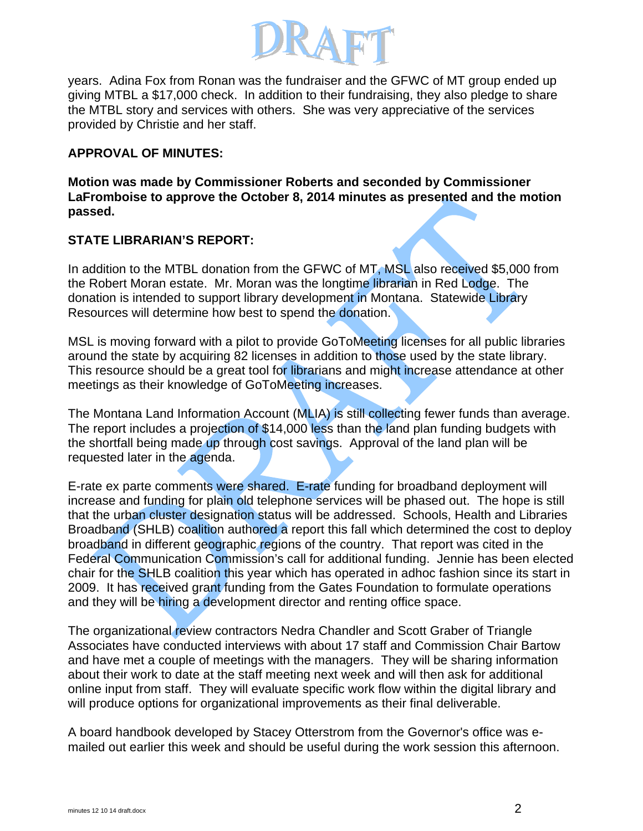

years. Adina Fox from Ronan was the fundraiser and the GFWC of MT group ended up giving MTBL a \$17,000 check. In addition to their fundraising, they also pledge to share the MTBL story and services with others. She was very appreciative of the services provided by Christie and her staff.

## **APPROVAL OF MINUTES:**

**Motion was made by Commissioner Roberts and seconded by Commissioner LaFromboise to approve the October 8, 2014 minutes as presented and the motion passed.** 

## **STATE LIBRARIAN'S REPORT:**

In addition to the MTBL donation from the GFWC of MT, MSL also received \$5,000 from the Robert Moran estate. Mr. Moran was the longtime librarian in Red Lodge. The donation is intended to support library development in Montana. Statewide Library Resources will determine how best to spend the donation.

MSL is moving forward with a pilot to provide GoToMeeting licenses for all public libraries around the state by acquiring 82 licenses in addition to those used by the state library. This resource should be a great tool for librarians and might increase attendance at other meetings as their knowledge of GoToMeeting increases.

The Montana Land Information Account (MLIA) is still collecting fewer funds than average. The report includes a projection of \$14,000 less than the land plan funding budgets with the shortfall being made up through cost savings. Approval of the land plan will be requested later in the agenda.

E-rate ex parte comments were shared. E-rate funding for broadband deployment will increase and funding for plain old telephone services will be phased out. The hope is still that the urban cluster designation status will be addressed. Schools, Health and Libraries Broadband (SHLB) coalition authored a report this fall which determined the cost to deploy broadband in different geographic regions of the country. That report was cited in the Federal Communication Commission's call for additional funding. Jennie has been elected chair for the SHLB coalition this year which has operated in adhoc fashion since its start in 2009. It has received grant funding from the Gates Foundation to formulate operations and they will be hiring a development director and renting office space.

The organizational review contractors Nedra Chandler and Scott Graber of Triangle Associates have conducted interviews with about 17 staff and Commission Chair Bartow and have met a couple of meetings with the managers. They will be sharing information about their work to date at the staff meeting next week and will then ask for additional online input from staff. They will evaluate specific work flow within the digital library and will produce options for organizational improvements as their final deliverable.

A board handbook developed by Stacey Otterstrom from the Governor's office was emailed out earlier this week and should be useful during the work session this afternoon.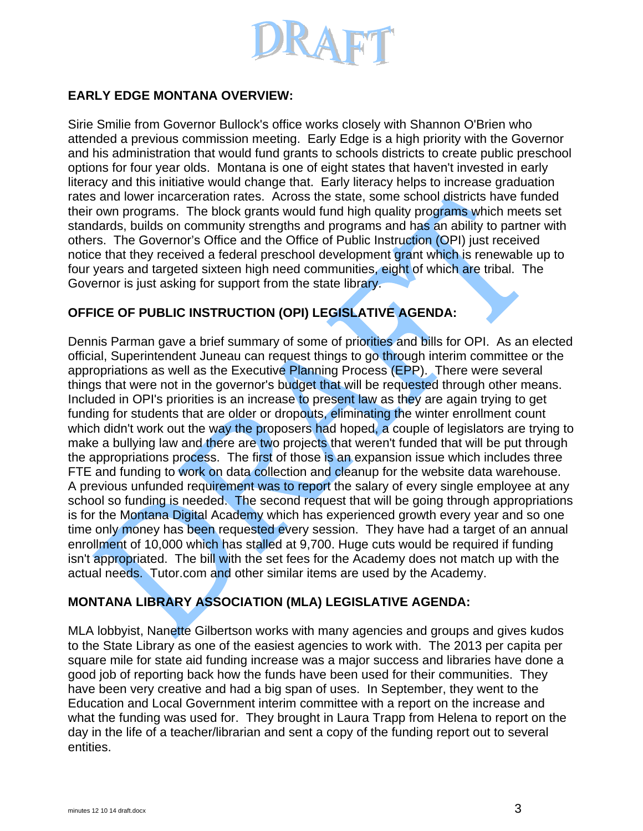

## **EARLY EDGE MONTANA OVERVIEW:**

Sirie Smilie from Governor Bullock's office works closely with Shannon O'Brien who attended a previous commission meeting. Early Edge is a high priority with the Governor and his administration that would fund grants to schools districts to create public preschool options for four year olds. Montana is one of eight states that haven't invested in early literacy and this initiative would change that. Early literacy helps to increase graduation rates and lower incarceration rates. Across the state, some school districts have funded their own programs. The block grants would fund high quality programs which meets set standards, builds on community strengths and programs and has an ability to partner with others. The Governor's Office and the Office of Public Instruction (OPI) just received notice that they received a federal preschool development grant which is renewable up to four years and targeted sixteen high need communities, eight of which are tribal. The Governor is just asking for support from the state library.

## **OFFICE OF PUBLIC INSTRUCTION (OPI) LEGISLATIVE AGENDA:**

Dennis Parman gave a brief summary of some of priorities and bills for OPI. As an elected official, Superintendent Juneau can request things to go through interim committee or the appropriations as well as the Executive Planning Process (EPP). There were several things that were not in the governor's budget that will be requested through other means. Included in OPI's priorities is an increase to present law as they are again trying to get funding for students that are older or dropouts, eliminating the winter enrollment count which didn't work out the way the proposers had hoped, a couple of legislators are trying to make a bullying law and there are two projects that weren't funded that will be put through the appropriations process. The first of those is an expansion issue which includes three FTE and funding to work on data collection and cleanup for the website data warehouse. A previous unfunded requirement was to report the salary of every single employee at any school so funding is needed. The second request that will be going through appropriations is for the Montana Digital Academy which has experienced growth every year and so one time only money has been requested every session. They have had a target of an annual enrollment of 10,000 which has stalled at 9,700. Huge cuts would be required if funding isn't appropriated. The bill with the set fees for the Academy does not match up with the actual needs. Tutor.com and other similar items are used by the Academy.

# **MONTANA LIBRARY ASSOCIATION (MLA) LEGISLATIVE AGENDA:**

MLA lobbyist, Nanette Gilbertson works with many agencies and groups and gives kudos to the State Library as one of the easiest agencies to work with. The 2013 per capita per square mile for state aid funding increase was a major success and libraries have done a good job of reporting back how the funds have been used for their communities. They have been very creative and had a big span of uses. In September, they went to the Education and Local Government interim committee with a report on the increase and what the funding was used for. They brought in Laura Trapp from Helena to report on the day in the life of a teacher/librarian and sent a copy of the funding report out to several entities.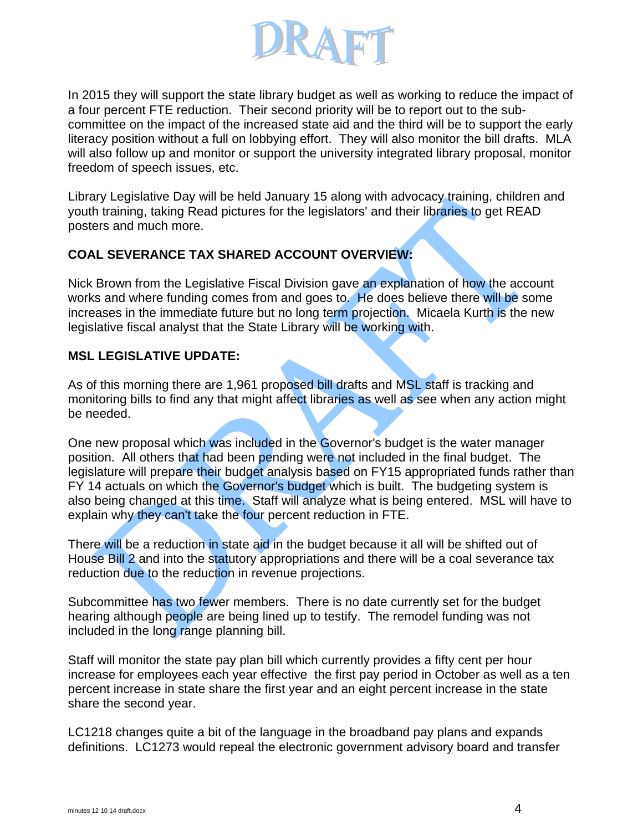

In 2015 they will support the state library budget as well as working to reduce the impact of a four percent FTE reduction. Their second priority will be to report out to the subcommittee on the impact of the increased state aid and the third will be to support the early literacy position without a full on lobbying effort. They will also monitor the bill drafts. MLA will also follow up and monitor or support the university integrated library proposal, monitor freedom of speech issues, etc.

Library Legislative Day will be held January 15 along with advocacy training, children and youth training, taking Read pictures for the legislators' and their libraries to get READ posters and much more.

## **COAL SEVERANCE TAX SHARED ACCOUNT OVERVIEW:**

Nick Brown from the Legislative Fiscal Division gave an explanation of how the account works and where funding comes from and goes to. He does believe there will be some increases in the immediate future but no long term projection. Micaela Kurth is the new legislative fiscal analyst that the State Library will be working with.

### **MSL LEGISLATIVE UPDATE:**

As of this morning there are 1,961 proposed bill drafts and MSL staff is tracking and monitoring bills to find any that might affect libraries as well as see when any action might be needed.

One new proposal which was included in the Governor's budget is the water manager position. All others that had been pending were not included in the final budget. The legislature will prepare their budget analysis based on FY15 appropriated funds rather than FY 14 actuals on which the Governor's budget which is built. The budgeting system is also being changed at this time. Staff will analyze what is being entered. MSL will have to explain why they can't take the four percent reduction in FTE.

There will be a reduction in state aid in the budget because it all will be shifted out of House Bill 2 and into the statutory appropriations and there will be a coal severance tax reduction due to the reduction in revenue projections.

Subcommittee has two fewer members. There is no date currently set for the budget hearing although people are being lined up to testify. The remodel funding was not included in the long range planning bill.

Staff will monitor the state pay plan bill which currently provides a fifty cent per hour increase for employees each year effective the first pay period in October as well as a ten percent increase in state share the first year and an eight percent increase in the state share the second year.

LC1218 changes quite a bit of the language in the broadband pay plans and expands definitions. LC1273 would repeal the electronic government advisory board and transfer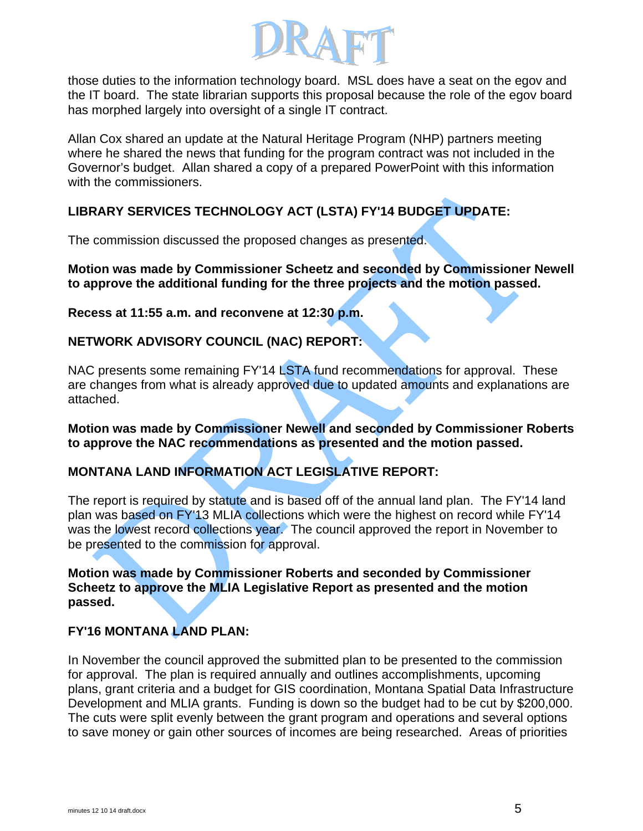

those duties to the information technology board. MSL does have a seat on the egov and the IT board. The state librarian supports this proposal because the role of the egov board has morphed largely into oversight of a single IT contract.

Allan Cox shared an update at the Natural Heritage Program (NHP) partners meeting where he shared the news that funding for the program contract was not included in the Governor's budget. Allan shared a copy of a prepared PowerPoint with this information with the commissioners.

# **LIBRARY SERVICES TECHNOLOGY ACT (LSTA) FY'14 BUDGET UPDATE:**

The commission discussed the proposed changes as presented.

**Motion was made by Commissioner Scheetz and seconded by Commissioner Newell to approve the additional funding for the three projects and the motion passed.** 

**Recess at 11:55 a.m. and reconvene at 12:30 p.m.** 

# **NETWORK ADVISORY COUNCIL (NAC) REPORT:**

NAC presents some remaining FY'14 LSTA fund recommendations for approval. These are changes from what is already approved due to updated amounts and explanations are attached.

**Motion was made by Commissioner Newell and seconded by Commissioner Roberts to approve the NAC recommendations as presented and the motion passed.** 

# **MONTANA LAND INFORMATION ACT LEGISLATIVE REPORT:**

The report is required by statute and is based off of the annual land plan. The FY'14 land plan was based on FY'13 MLIA collections which were the highest on record while FY'14 was the lowest record collections year. The council approved the report in November to be presented to the commission for approval.

**Motion was made by Commissioner Roberts and seconded by Commissioner Scheetz to approve the MLIA Legislative Report as presented and the motion passed.** 

# **FY'16 MONTANA LAND PLAN:**

In November the council approved the submitted plan to be presented to the commission for approval. The plan is required annually and outlines accomplishments, upcoming plans, grant criteria and a budget for GIS coordination, Montana Spatial Data Infrastructure Development and MLIA grants. Funding is down so the budget had to be cut by \$200,000. The cuts were split evenly between the grant program and operations and several options to save money or gain other sources of incomes are being researched. Areas of priorities